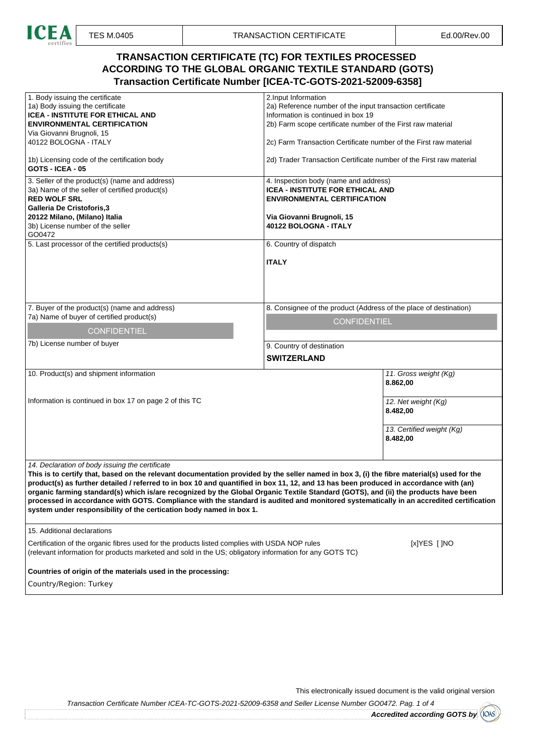

## **TRANSACTION CERTIFICATE (TC) FOR TEXTILES PROCESSED ACCORDING TO THE GLOBAL ORGANIC TEXTILE STANDARD (GOTS) Transaction Certificate Number [ICEA-TC-GOTS-2021-52009-6358]**

| 1. Body issuing the certificate                                                                                                                                                                                                                                              | 2. Input Information                                                |  |  |  |
|------------------------------------------------------------------------------------------------------------------------------------------------------------------------------------------------------------------------------------------------------------------------------|---------------------------------------------------------------------|--|--|--|
| 1a) Body issuing the certificate                                                                                                                                                                                                                                             | 2a) Reference number of the input transaction certificate           |  |  |  |
| ICEA - INSTITUTE FOR ETHICAL AND                                                                                                                                                                                                                                             | Information is continued in box 19                                  |  |  |  |
| <b>ENVIRONMENTAL CERTIFICATION</b>                                                                                                                                                                                                                                           | 2b) Farm scope certificate number of the First raw material         |  |  |  |
| Via Giovanni Brugnoli, 15                                                                                                                                                                                                                                                    |                                                                     |  |  |  |
| 40122 BOLOGNA - ITALY                                                                                                                                                                                                                                                        | 2c) Farm Transaction Certificate number of the First raw material   |  |  |  |
| 1b) Licensing code of the certification body<br><b>GOTS - ICEA - 05</b>                                                                                                                                                                                                      | 2d) Trader Transaction Certificate number of the First raw material |  |  |  |
| 3. Seller of the product(s) (name and address)                                                                                                                                                                                                                               | 4. Inspection body (name and address)                               |  |  |  |
| 3a) Name of the seller of certified product(s)                                                                                                                                                                                                                               | <b>ICEA - INSTITUTE FOR ETHICAL AND</b>                             |  |  |  |
| <b>RED WOLF SRL</b>                                                                                                                                                                                                                                                          | <b>ENVIRONMENTAL CERTIFICATION</b>                                  |  |  |  |
| <b>Galleria De Cristoforis,3</b>                                                                                                                                                                                                                                             |                                                                     |  |  |  |
| 20122 Milano, (Milano) Italia                                                                                                                                                                                                                                                | Via Giovanni Brugnoli, 15                                           |  |  |  |
| 3b) License number of the seller                                                                                                                                                                                                                                             | 40122 BOLOGNA - ITALY                                               |  |  |  |
| GO0472                                                                                                                                                                                                                                                                       |                                                                     |  |  |  |
| 5. Last processor of the certified products(s)                                                                                                                                                                                                                               | 6. Country of dispatch                                              |  |  |  |
|                                                                                                                                                                                                                                                                              | <b>ITALY</b>                                                        |  |  |  |
|                                                                                                                                                                                                                                                                              |                                                                     |  |  |  |
|                                                                                                                                                                                                                                                                              |                                                                     |  |  |  |
|                                                                                                                                                                                                                                                                              |                                                                     |  |  |  |
|                                                                                                                                                                                                                                                                              |                                                                     |  |  |  |
| 7. Buyer of the product(s) (name and address)                                                                                                                                                                                                                                | 8. Consignee of the product (Address of the place of destination)   |  |  |  |
| 7a) Name of buyer of certified product(s)                                                                                                                                                                                                                                    |                                                                     |  |  |  |
|                                                                                                                                                                                                                                                                              | <b>CONFIDENTIEL</b>                                                 |  |  |  |
| <b>CONFIDENTIEL</b>                                                                                                                                                                                                                                                          |                                                                     |  |  |  |
| 7b) License number of buyer                                                                                                                                                                                                                                                  | 9. Country of destination                                           |  |  |  |
|                                                                                                                                                                                                                                                                              |                                                                     |  |  |  |
|                                                                                                                                                                                                                                                                              | <b>SWITZERLAND</b>                                                  |  |  |  |
| 10. Product(s) and shipment information                                                                                                                                                                                                                                      | 11. Gross weight (Kg)                                               |  |  |  |
|                                                                                                                                                                                                                                                                              | 8.862,00                                                            |  |  |  |
|                                                                                                                                                                                                                                                                              |                                                                     |  |  |  |
| Information is continued in box 17 on page 2 of this TC                                                                                                                                                                                                                      | 12. Net weight (Kg)                                                 |  |  |  |
|                                                                                                                                                                                                                                                                              | 8.482,00                                                            |  |  |  |
|                                                                                                                                                                                                                                                                              |                                                                     |  |  |  |
|                                                                                                                                                                                                                                                                              |                                                                     |  |  |  |
|                                                                                                                                                                                                                                                                              | 13. Certified weight (Kg)                                           |  |  |  |
|                                                                                                                                                                                                                                                                              | 8.482,00                                                            |  |  |  |
|                                                                                                                                                                                                                                                                              |                                                                     |  |  |  |
| 14. Declaration of body issuing the certificate                                                                                                                                                                                                                              |                                                                     |  |  |  |
| This is to certify that, based on the relevant documentation provided by the seller named in box 3, (i) the fibre material(s) used for the                                                                                                                                   |                                                                     |  |  |  |
|                                                                                                                                                                                                                                                                              |                                                                     |  |  |  |
| product(s) as further detailed / referred to in box 10 and quantified in box 11, 12, and 13 has been produced in accordance with (an)                                                                                                                                        |                                                                     |  |  |  |
| organic farming standard(s) which is/are recognized by the Global Organic Textile Standard (GOTS), and (ii) the products have been<br>processed in accordance with GOTS. Compliance with the standard is audited and monitored systematically in an accredited certification |                                                                     |  |  |  |
| system under responsibility of the certication body named in box 1.                                                                                                                                                                                                          |                                                                     |  |  |  |
|                                                                                                                                                                                                                                                                              |                                                                     |  |  |  |
|                                                                                                                                                                                                                                                                              |                                                                     |  |  |  |
| 15. Additional declarations                                                                                                                                                                                                                                                  |                                                                     |  |  |  |
| Certification of the organic fibres used for the products listed complies with USDA NOP rules<br>[x]YES [ ]NO                                                                                                                                                                |                                                                     |  |  |  |
| (relevant information for products marketed and sold in the US; obligatory information for any GOTS TC)                                                                                                                                                                      |                                                                     |  |  |  |
|                                                                                                                                                                                                                                                                              |                                                                     |  |  |  |
| Countries of origin of the materials used in the processing:                                                                                                                                                                                                                 |                                                                     |  |  |  |
|                                                                                                                                                                                                                                                                              |                                                                     |  |  |  |
| Country/Region: Turkey                                                                                                                                                                                                                                                       |                                                                     |  |  |  |
|                                                                                                                                                                                                                                                                              |                                                                     |  |  |  |

This electronically issued document is the valid original version

Transaction Certificate Number ICEA-TC-GOTS-2021-52009-6358 and Seller License Number GO0472. Pag. 1 of 4

**Accredited according GOTS by**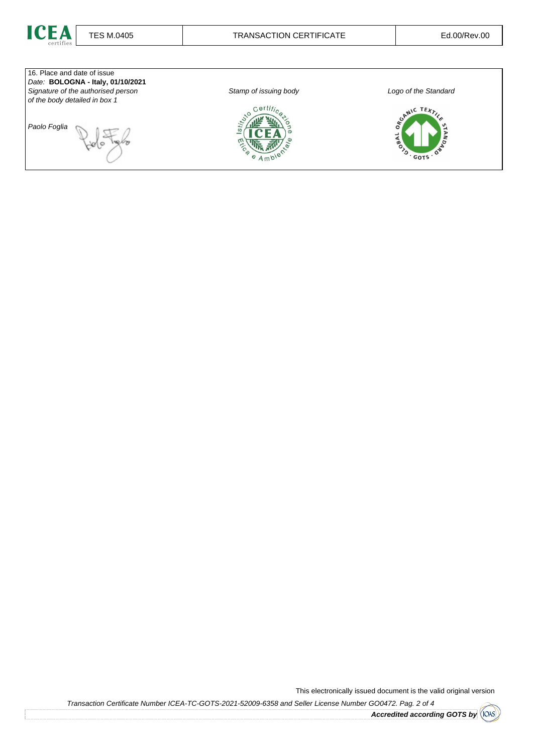



This electronically issued document is the valid original version

Transaction Certificate Number ICEA-TC-GOTS-2021-52009-6358 and Seller License Number GO0472. Pag. 2 of 4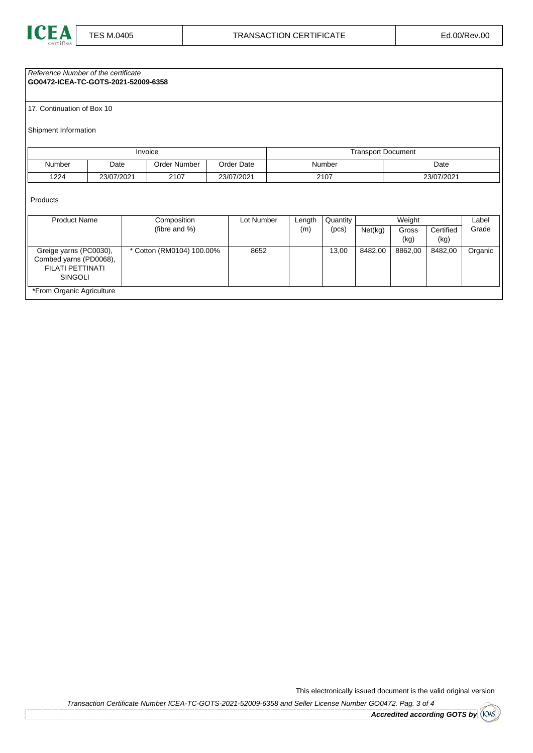

Reference Number of the certificate

**GO0472-ICEA-TC-GOTS-2021-52009-6358**

17. Continuation of Box 10

Shipment Information

| Invoice |            | <b>Transport Document</b> |            |        |            |  |
|---------|------------|---------------------------|------------|--------|------------|--|
| Number  | Date       | Order Number              | Order Date | Number | Date       |  |
| 1224    | 23/07/2021 | 2107                      | 23/07/2021 | 2107   | 23/07/2021 |  |

Products

| <b>Product Name</b>                                                             | Composition               | Lot Number | Length | Quantity |         | Weight  |           | Label   |
|---------------------------------------------------------------------------------|---------------------------|------------|--------|----------|---------|---------|-----------|---------|
|                                                                                 | (fibre and %)             |            | (m)    | (pcs)    | Net(kg) | Gross   | Certified | Grade   |
|                                                                                 |                           |            |        |          |         | (kg)    | (kg)      |         |
| Greige yarns (PC0030),<br>Combed yarns (PD0068),<br>FILATI PETTINATI<br>SINGOLI | * Cotton (RM0104) 100.00% | 8652       |        | 13,00    | 8482,00 | 8862,00 | 8482,00   | Organic |
| *From Organic Agriculture                                                       |                           |            |        |          |         |         |           |         |

This electronically issued document is the valid original version

Transaction Certificate Number ICEA-TC-GOTS-2021-52009-6358 and Seller License Number GO0472. Pag. 3 of 4

**Accredited according GOTS by**